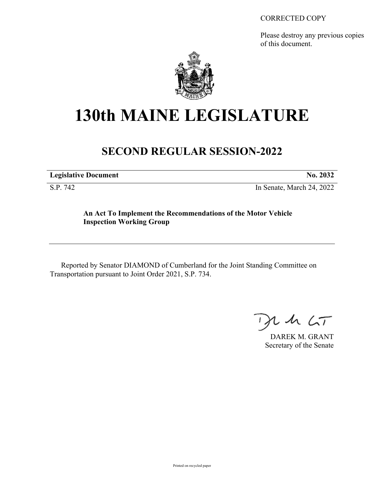#### CORRECTED COPY

Please destroy any previous copies of this document.



# **130th MAINE LEGISLATURE**

## **SECOND REGULAR SESSION-2022**

| <b>Legislative Document</b> | No. 2032 |
|-----------------------------|----------|

S.P. 742 In Senate, March 24, 2022

### **An Act To Implement the Recommendations of the Motor Vehicle Inspection Working Group**

Reported by Senator DIAMOND of Cumberland for the Joint Standing Committee on Transportation pursuant to Joint Order 2021, S.P. 734.

, in  $\zeta$ T

DAREK M. GRANT Secretary of the Senate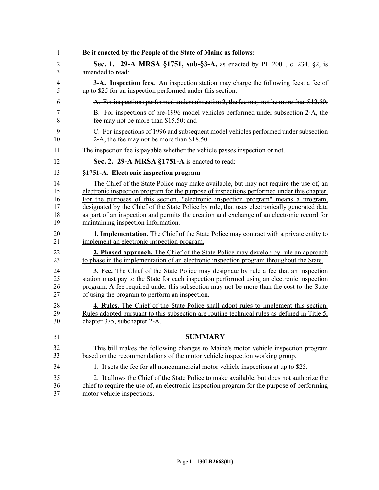| 1  | Be it enacted by the People of the State of Maine as follows:                                |
|----|----------------------------------------------------------------------------------------------|
| 2  | Sec. 1. 29-A MRSA §1751, sub-§3-A, as enacted by PL 2001, c. 234, §2, is                     |
| 3  | amended to read:                                                                             |
| 4  | <b>3-A.</b> Inspection fees. An inspection station may charge the following fees: a fee of   |
| 5  | up to \$25 for an inspection performed under this section.                                   |
| 6  | A. For inspections performed under subsection 2, the fee may not be more than \$12.50;       |
| 7  | B. For inspections of pre-1996 model vehicles performed under subsection 2-A, the            |
| 8  | fee may not be more than \$15.50; and                                                        |
| 9  | C. For inspections of 1996 and subsequent model vehicles performed under subsection          |
| 10 | 2-A, the fee may not be more than \$18.50.                                                   |
| 11 | The inspection fee is payable whether the vehicle passes inspection or not.                  |
| 12 | Sec. 2. 29-A MRSA §1751-A is enacted to read:                                                |
| 13 | §1751-A. Electronic inspection program                                                       |
| 14 | The Chief of the State Police may make available, but may not require the use of, an         |
| 15 | electronic inspection program for the purpose of inspections performed under this chapter.   |
| 16 | For the purposes of this section, "electronic inspection program" means a program,           |
| 17 | designated by the Chief of the State Police by rule, that uses electronically generated data |
| 18 | as part of an inspection and permits the creation and exchange of an electronic record for   |
| 19 | maintaining inspection information.                                                          |
| 20 | 1. Implementation. The Chief of the State Police may contract with a private entity to       |
| 21 | implement an electronic inspection program.                                                  |
| 22 | <b>2. Phased approach.</b> The Chief of the State Police may develop by rule an approach     |
| 23 | to phase in the implementation of an electronic inspection program throughout the State.     |
| 24 | <b>3. Fee.</b> The Chief of the State Police may designate by rule a fee that an inspection  |
| 25 | station must pay to the State for each inspection performed using an electronic inspection   |
| 26 | program. A fee required under this subsection may not be more than the cost to the State     |
| 27 | of using the program to perform an inspection.                                               |
| 28 | 4. Rules. The Chief of the State Police shall adopt rules to implement this section.         |
| 29 | Rules adopted pursuant to this subsection are routine technical rules as defined in Title 5, |
| 30 | chapter 375, subchapter 2-A.                                                                 |
| 31 | <b>SUMMARY</b>                                                                               |
| 32 | This bill makes the following changes to Maine's motor vehicle inspection program            |
| 33 | based on the recommendations of the motor vehicle inspection working group.                  |
| 34 | 1. It sets the fee for all noncommercial motor vehicle inspections at up to \$25.            |
| 35 | 2. It allows the Chief of the State Police to make available, but does not authorize the     |
| 36 | chief to require the use of, an electronic inspection program for the purpose of performing  |
| 37 | motor vehicle inspections.                                                                   |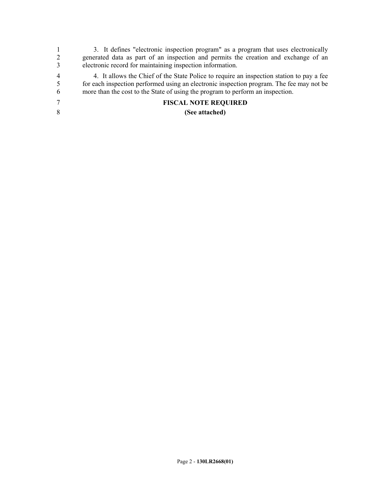|                | 3. It defines "electronic inspection program" as a program that uses electronically      |
|----------------|------------------------------------------------------------------------------------------|
| 2              | generated data as part of an inspection and permits the creation and exchange of an      |
| 3              | electronic record for maintaining inspection information.                                |
| $\overline{4}$ | 4. It allows the Chief of the State Police to require an inspection station to pay a fee |
| -5             | for each inspection performed using an electronic inspection program. The fee may not be |
| 6              | more than the cost to the State of using the program to perform an inspection.           |
| 7              | <b>FISCAL NOTE REQUIRED</b>                                                              |
| 8              | (See attached)                                                                           |